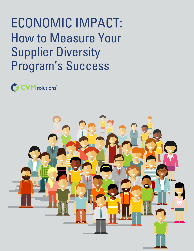# ECONOMIC IMPACT: How to Measure Your Supplier Diversity Program's Success

**COVID** solutions

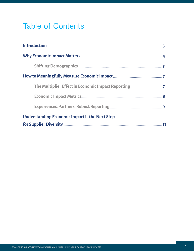## Table of Contents

| <b>Understanding Economic Impact Is the Next Step</b> |  |
|-------------------------------------------------------|--|
|                                                       |  |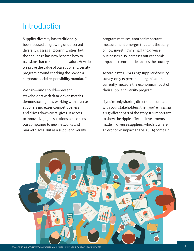## <span id="page-2-0"></span>**Introduction**

Supplier diversity has traditionally been focused on growing underserved diversity classes and communities, but the challenge has now become how to translate that to stakeholder value. How do we prove the value of our supplier diversity program beyond checking the box on a corporate social responsibility mandate?

We can—and should—present stakeholders with data-driven metrics demonstrating how working with diverse suppliers increases competitiveness and drives down costs; gives us access to innovative, agile solutions; and opens our companies to new networks and marketplaces. But as a supplier diversity

program matures, another important measurement emerges that tells the story of how investing in small and diverse businesses also increases our economic impact in communities across the country.

According to CVM's 2017 supplier diversity survey, only 19 percent of organizations currently measure the economic impact of their supplier diversity program.

If you're only sharing direct spend dollars with your stakeholders, then you're missing a significant part of the story. It's important to show the ripple effect of investments made in diverse suppliers, which is where an economic impact analysis (EIA) comes in.

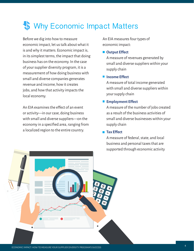## <span id="page-3-0"></span>**S** Why Economic Impact Matters

Before we dig into how to measure economic impact, let us talk about what it is and why it matters. Economic impact is, in its simplest terms, the impact that doing business has on the economy. In the case of your supplier diversity program, it is a measurement of how doing business with small and diverse companies generates revenue and income, how it creates jobs, and how that activity impacts the local economy.

An EIA examines the effect of an event or activity—in our case, doing business with small and diverse suppliers—on the economy in a specified area, ranging from a localized region to the entire country.

An EIA measures four types of economic impact:

#### ■ Output Effect

A measure of revenues generated by small and diverse suppliers within your supply chain

#### **Income Effect**

A measure of total income generated with small and diverse suppliers within your supply chain

#### **Employment Effect**

A measure of the number of jobs created as a result of the business activities of small and diverse businesses within your supply chain

#### **Tax Effect**

A measure of federal, state, and local business and personal taxes that are supported through economic activity

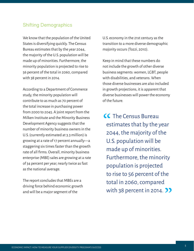#### <span id="page-4-0"></span>Shifting Demographics

We know that the population of the United States is diversifying quickly. The Census Bureau estimates that by the year 2044, the majority of the U.S. population will be made up of minorities. Furthermore, the minority population is projected to rise to 56 percent of the total in 2060, compared with 38 percent in 2014.

According to a Department of Commerce study, the minority population will contribute to as much as 70 percent of the total increase in purchasing power from 2000 to 2045. A joint report from the Milken Institute and the Minority Business Development Agency suggests that the number of minority business owners in the U.S. (currently estimated at 3.3 million) is growing at a rate of 17 percent annually—a staggering six times faster than the growth rate of all firms. Overall, minority business enterprise (MBE) sales are growing at a rate of 34 percent per year, nearly twice as fast as the national average.

The report concludes that MBEs are a driving force behind economic growth and will be a major segment of the

U.S. economy in the 21st century as the transition to a more diverse demographic majority occurs (Tozzi, 2010).

Keep in mind that these numbers do not include the growth of other diverse business segments: women, LGBT, people with disabilities, and veterans. When those diverse businesses are also included in growth projections, it is apparent that diverse businesses will power the economy of the future.

**CC** The Census Bureau<br>estimates that by the y<br>2044, the majority of t estimates that by the year 2044, the majority of the U.S. population will be made up of minorities. Furthermore, the minority population is projected to rise to 56 percent of the total in 2060, compared with 38 percent in 2014. 22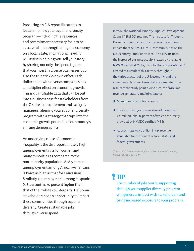Producing an EIA report illustrates to leadership how your supplier diversity program—including the resources and commitment necessary for it to be successful—is strengthening the economy on a local, state, and national level. It will assist in helping you "tell your story" by sharing not only the spend figures that you invest in diverse businesses but also the true trickle-down effect: Each dollar spent with diverse companies has a multiplier effect on economic growth. This is quantifiable data that can be put into a business case for stakeholders from the C-suite to procurement and category managers, aligning your supplier diversity program with a strategy that taps into the economic growth potential of our country's shifting demographics.

An underlying cause of economic inequality is the disproportionately high unemployment rate for women and many minorities as compared to the non-minority population. At 8.5 percent, unemployment among African-Americans is twice as high as that for Caucasians. Similarly, unemployment among Hispanics (5.8 percent) is 30 percent higher than that of their white counterparts. Help your stakeholders see an opportunity to impact these communities through supplier diversity: Create sustainable jobs through diverse spend.

In 2014, the National Minority Supplier Development Council (NMSDC) retained The Institute for Thought Diversity to conduct a study to assess the economic impact that the NMSDC MBE community has on the U.S. economy (and Puerto Rico). This EIA includes the increased business activity created by the 11,978 NMSDC-certified MBEs, the jobs that are maintained/ created as a result of this activity throughout the various sectors of the U.S. economy, and the incremental business taxes that are generated. The results of the study paint a vivid picture of MBEs as revenue generators and job creators:

- $\blacksquare$  More than \$400 billion in output
- $\blacksquare$  Creation of and/or preservation of more than 2.2 million jobs, 32 percent of which are directly provided by NMSDC-certified MBEs
- Approximately \$49 billion in tax revenue generated for the benefit of local, state, and federal governments

*[\(Source: http://www.nmsdc.org/wp-content/uploads/Economic\\_](http://www.nmsdc.org/wp-content/uploads/Economic_
Impact_Report_FINAL.pdf) [Impact\\_Report\\_FINAL.pdf\)](http://www.nmsdc.org/wp-content/uploads/Economic_
Impact_Report_FINAL.pdf)*

### **TIP**

The number of jobs you're supporting through your supplier diversity program will generate impact with stakeholders and bring increased exposure to your program.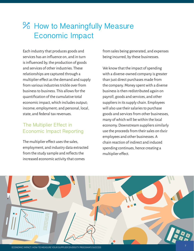## <span id="page-6-0"></span>**% How to Meaningfully Measure** Economic Impact

Each industry that produces goods and services has an influence on, and in turn is influenced by, the production of goods and services of other industries. These relationships are captured through a multiplier effect as the demand and supply from various industries trickle over from business to business. This allows for the quantification of the cumulative total economic impact, which includes output; income; employment; and personal, local, state, and federal tax revenues.

#### The Multiplier Effect in Economic Impact Reporting

The multiplier effect uses the sales, employment, and industry data extracted from the study sample and reflects the increased economic activity that comes

from sales being generated, and expenses being incurred, by these businesses.

We know that the impact of spending with a diverse-owned company is greater than just direct purchases made from the company. Money spent with a diverse business is then redistributed again on payroll, goods and services, and other suppliers in its supply chain. Employees will also use their salaries to purchase goods and services from other businesses, many of which will be within the local economy. Downstream suppliers similarly use the proceeds from their sales on their employees and other businesses. A chain reaction of indirect and induced spending continues, hence creating a multiplier effect.

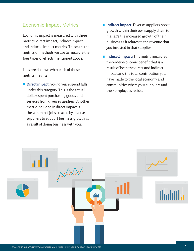#### <span id="page-7-0"></span>Economic Impact Metrics

Economic impact is measured with three metrics: direct impact, indirect impact, and induced impact metrics. These are the metrics or methods we use to measure the four types of effects mentioned above.

Let's break down what each of those metrics means:

**Direct impact:** Your diverse spend falls under this category. This is the actual dollars spent purchasing goods and services from diverse suppliers. Another metric included in direct impact is the volume of jobs created by diverse suppliers to support business growth as a result of doing business with you.

- Indirect impact: Diverse suppliers boost growth within their own supply chain to manage the increased growth of their business as it relates to the revenue that you invested in that supplier.
- **Induced impact:** This metric measures the wider economic benefit that is a result of both the direct and indirect impact and the total contribution you have made to the local economy and communities where your suppliers and their employees reside.

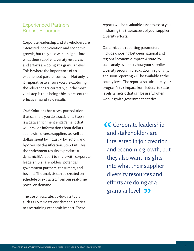#### <span id="page-8-0"></span>Experienced Partners, Robust Reporting

Corporate leadership and stakeholders are interested in job creation and economic growth, but they also want insights into what their supplier diversity resources and efforts are doing at a granular level. This is where the importance of an experienced partner comes in. Not only is it imperative to ensure you are capturing the relevant data correctly, but the most vital step is then being able to present the effectiveness of said results.

CVM Solutions has a two-part solution that can help you do exactly this. Step 1 is a data enrichment engagement that will provide information about dollars spent with diverse suppliers, as well as dollars spent by industry, by region, and by diversity classification. Step 2 utilizes the enrichment results to produce a dynamic EIA report to share with corporate leadership, shareholders, potential government partners, consumers, and beyond. The analysis can be created on schedule or extracted from our real-time portal on demand.

The use of accurate, up-to-date tools such as CVM's data enrichment is critical to ascertaining economic impact. These

reports will be a valuable asset to assist you in sharing the true success of your supplier diversity efforts.

Customizable reporting parameters include choosing between national and regional economic impact. A state-bystate analysis depicts how your supplier diversity program breaks down regionally, and soon reporting will be available at the county level. The report also calculates your program's tax impact from federal to state levels, a metric that can be useful when working with government entities.

CC Corporate leadership<br>and stakeholders are<br>interested in ioh creation and stakeholders are interested in job creation and economic growth, but they also want insights into what their supplier diversity resources and efforts are doing at a granular level. 33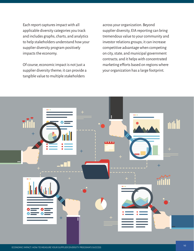Each report captures impact with all applicable diversity categories you track and includes graphs, charts, and analytics to help stakeholders understand how your supplier diversity program positively impacts the economy.

Of course, economic impact is not just a supplier diversity theme; it can provide a tangible value to multiple stakeholders

across your organization. Beyond supplier diversity, EIA reporting can bring tremendous value to your community and investor relations groups; it can increase competitive advantage when competing on city, state, and municipal government contracts; and it helps with concentrated marketing efforts based on regions where your organization has a large footprint.